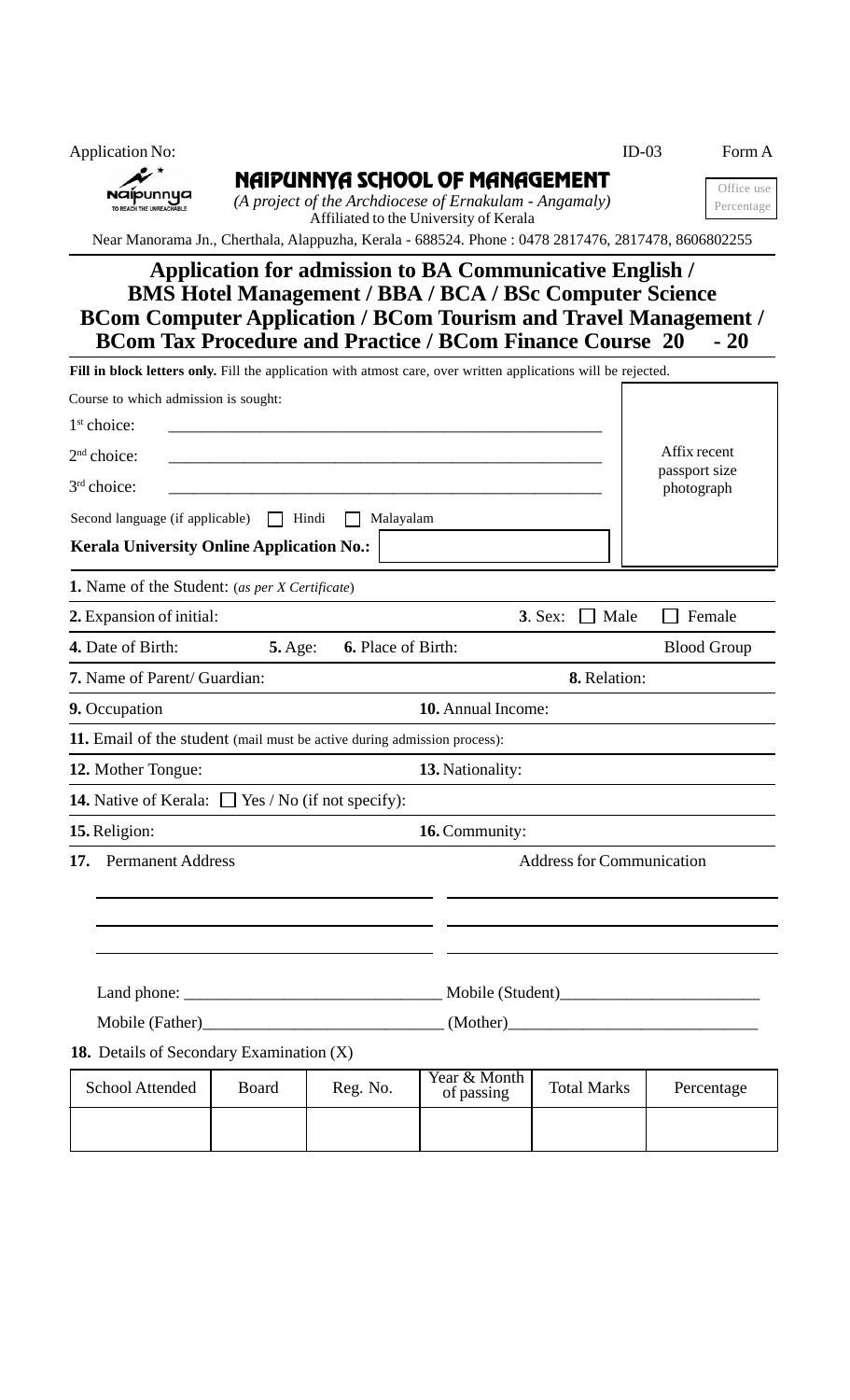| <b>Application No:</b>                |                                                                                                                                    | $ID-03$ | Form A                   |
|---------------------------------------|------------------------------------------------------------------------------------------------------------------------------------|---------|--------------------------|
| Naipunnya<br>TO REACH THE UNREACHABLE | NAIPUNNYA SCHOOL OF MANAGEMENT<br>(A project of the Archdiocese of Ernakulam - Angamaly)<br>Affiliated to the University of Kerala |         | Office use<br>Percentage |
|                                       | Near Manorama Jn., Cherthala, Alappuzha, Kerala - 688524. Phone : 0478 2817476, 2817478, 8606802255                                |         |                          |
|                                       | <b>Application for admission to BA Communicative English /</b>                                                                     |         |                          |

## **BMS Hotel Management / BBA / BCA / BSc Computer Science BCom Computer Application / BCom Tourism and Travel Management /<br>BCom Tax Procedure and Practice / BCom Finance Course 20 - 20 BCom Tax Procedure and Practice / BCom Finance Course 20**

| Fill in block letters only. Fill the application with atmost care, over written applications will be rejected. |                |          |                                  |                            |                    |                             |  |  |
|----------------------------------------------------------------------------------------------------------------|----------------|----------|----------------------------------|----------------------------|--------------------|-----------------------------|--|--|
| Course to which admission is sought:                                                                           |                |          |                                  |                            |                    |                             |  |  |
| 1 <sup>st</sup> choice:                                                                                        |                |          |                                  |                            |                    |                             |  |  |
| 2 <sup>nd</sup> choice:                                                                                        |                |          |                                  |                            |                    | Affix recent                |  |  |
| 3 <sup>rd</sup> choice:                                                                                        |                |          |                                  |                            |                    | passport size<br>photograph |  |  |
| Second language (if applicable)                                                                                |                | Hindi    | Malayalam                        |                            |                    |                             |  |  |
| <b>Kerala University Online Application No.:</b>                                                               |                |          |                                  |                            |                    |                             |  |  |
| <b>1.</b> Name of the Student: (as per X Certificate)                                                          |                |          |                                  |                            |                    |                             |  |  |
| <b>2.</b> Expansion of initial:                                                                                |                |          |                                  |                            | 3. Sex:<br>Male    | Female                      |  |  |
| 4. Date of Birth:                                                                                              | <b>5.</b> Age: |          | 6. Place of Birth:               |                            |                    | <b>Blood Group</b>          |  |  |
| 7. Name of Parent/ Guardian:                                                                                   |                |          |                                  |                            | 8. Relation:       |                             |  |  |
| 9. Occupation                                                                                                  |                |          | 10. Annual Income:               |                            |                    |                             |  |  |
| <b>11.</b> Email of the student (mail must be active during admission process):                                |                |          |                                  |                            |                    |                             |  |  |
| 12. Mother Tongue:                                                                                             |                |          | 13. Nationality:                 |                            |                    |                             |  |  |
| <b>14.</b> Native of Kerala: $\Box$ Yes / No (if not specify):                                                 |                |          |                                  |                            |                    |                             |  |  |
| 15. Religion:                                                                                                  |                |          | 16. Community:                   |                            |                    |                             |  |  |
| <b>Permanent Address</b><br>17.                                                                                |                |          | <b>Address for Communication</b> |                            |                    |                             |  |  |
|                                                                                                                |                |          |                                  |                            |                    |                             |  |  |
|                                                                                                                |                |          |                                  |                            |                    |                             |  |  |
|                                                                                                                |                |          |                                  |                            |                    |                             |  |  |
| Mobile (Father)<br><u>Mobile</u> (Father)                                                                      |                |          |                                  |                            |                    |                             |  |  |
| 18. Details of Secondary Examination (X)                                                                       |                |          |                                  |                            |                    |                             |  |  |
| <b>School Attended</b>                                                                                         | Board          | Reg. No. |                                  | Year & Month<br>of passing | <b>Total Marks</b> | Percentage                  |  |  |
|                                                                                                                |                |          |                                  |                            |                    |                             |  |  |